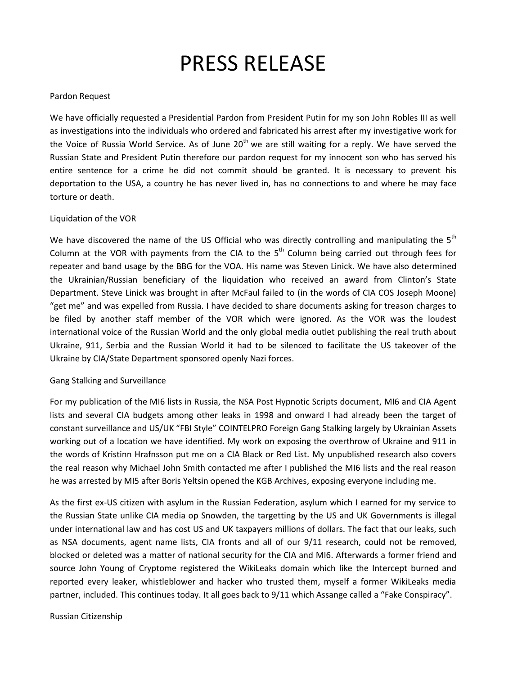# PRESS RELEASE

# Pardon Request

We have officially requested a Presidential Pardon from President Putin for my son John Robles III as well as investigations into the individuals who ordered and fabricated his arrest after my investigative work for the Voice of Russia World Service. As of June  $20<sup>th</sup>$  we are still waiting for a reply. We have served the Russian State and President Putin therefore our pardon request for my innocent son who has served his entire sentence for a crime he did not commit should be granted. It is necessary to prevent his deportation to the USA, a country he has never lived in, has no connections to and where he may face torture or death.

## Liquidation of the VOR

We have discovered the name of the US Official who was directly controlling and manipulating the  $5<sup>th</sup>$ Column at the VOR with payments from the CIA to the  $5<sup>th</sup>$  Column being carried out through fees for repeater and band usage by the BBG for the VOA. His name was Steven Linick. We have also determined the Ukrainian/Russian beneficiary of the liquidation who received an award from Clinton's State Department. Steve Linick was brought in after McFaul failed to (in the words of CIA COS Joseph Moone) "get me" and was expelled from Russia. I have decided to share documents asking for treason charges to be filed by another staff member of the VOR which were ignored. As the VOR was the loudest international voice of the Russian World and the only global media outlet publishing the real truth about Ukraine, 911, Serbia and the Russian World it had to be silenced to facilitate the US takeover of the Ukraine by CIA/State Department sponsored openly Nazi forces.

### Gang Stalking and Surveillance

For my publication of the MI6 lists in Russia, the NSA Post Hypnotic Scripts document, MI6 and CIA Agent lists and several CIA budgets among other leaks in 1998 and onward I had already been the target of constant surveillance and US/UK "FBI Style" COINTELPRO Foreign Gang Stalking largely by Ukrainian Assets working out of a location we have identified. My work on exposing the overthrow of Ukraine and 911 in the words of Kristinn Hrafnsson put me on a CIA Black or Red List. My unpublished research also covers the real reason why Michael John Smith contacted me after I published the MI6 lists and the real reason he was arrested by MI5 after Boris Yeltsin opened the KGB Archives, exposing everyone including me.

As the first ex-US citizen with asylum in the Russian Federation, asylum which I earned for my service to the Russian State unlike CIA media op Snowden, the targetting by the US and UK Governments is illegal under international law and has cost US and UK taxpayers millions of dollars. The fact that our leaks, such as NSA documents, agent name lists, CIA fronts and all of our 9/11 research, could not be removed, blocked or deleted was a matter of national security for the CIA and MI6. Afterwards a former friend and source John Young of Cryptome registered the WikiLeaks domain which like the Intercept burned and reported every leaker, whistleblower and hacker who trusted them, myself a former WikiLeaks media partner, included. This continues today. It all goes back to 9/11 which Assange called a "Fake Conspiracy".

Russian Citizenship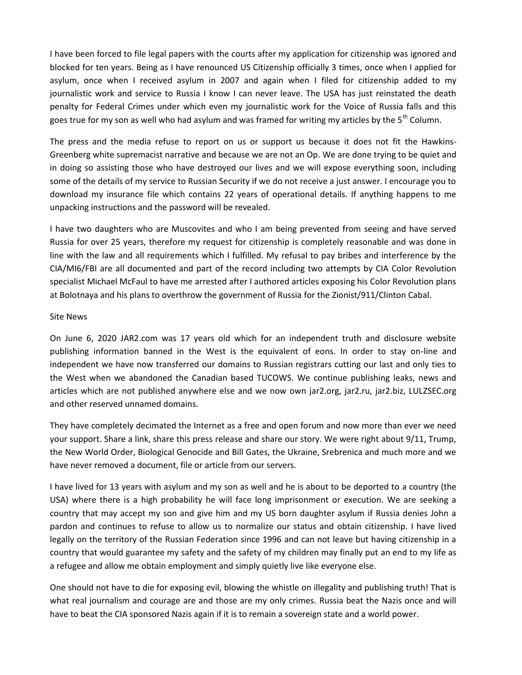I have been forced to file legal papers with the courts after my application for citizenship was ignored and blocked for ten years. Being as I have renounced US Citizenship officially 3 times, once when I applied for asylum, once when I received asylum in 2007 and again when I filed for citizenship added to my journalistic work and service to Russia I know I can never leave. The USA has just reinstated the death penalty for Federal Crimes under which even my journalistic work for the Voice of Russia falls and this goes true for my son as well who had asylum and was framed for writing my articles by the  $5<sup>th</sup>$  Column.

The press and the media refuse to report on us or support us because it does not fit the Hawkins- Greenberg white supremacist narrative and because we are not an Op. We are done trying to be quiet and in doing so assisting those who have destroyed our lives and we will expose everything soon, including some of the details of my service to Russian Security if we do not receive a just answer. I encourage you to download my insurance file which contains 22 years of operational details. If anything happens to me unpacking instructions and the password will be revealed.

I have two daughters who are Muscovites and who I am being prevented from seeing and have served Russia for over 25 years, therefore my request for citizenship is completely reasonable and was done in line with the law and all requirements which I fulfilled. My refusal to pay bribes and interference by the CIA/MI6/FBI are all documented and part of the record including two attempts by CIA Color Revolution specialist Michael McFaul to have me arrested after I authored articles exposing his Color Revolution plans at Bolotnaya and his plans to overthrow the government of Russia for the Zionist/911/Clinton Cabal.

#### Site News

On June 6, 2020 JAR2.com was 17 years old which for an independent truth and disclosure website publishing information banned in the West is the equivalent of eons. In order to stay on-line and independent we have now transferred our domains to Russian registrars cutting our last and only ties to the West when we abandoned the Canadian based TUCOWS. We continue publishing leaks, news and articles which are not published anywhere else and we now own jar2.org, jar2.ru, jar2.biz, LULZSEC.org and other reserved unnamed domains.

They have completely decimated the Internet as a free and open forum and now more than ever we need your support. Share a link, share this press release and share our story. We were right about 9/11, Trump, the New World Order, Biological Genocide and Bill Gates, the Ukraine, Srebrenica and much more and we have never removed a document, file or article from our servers.

I have lived for 13 years with asylum and my son as well and he is about to be deported to a country (the USA) where there is a high probability he will face long imprisonment or execution. We are seeking a country that may accept my son and give him and my US born daughter asylum if Russia denies John a pardon and continues to refuse to allow us to normalize our status and obtain citizenship. I have lived legally on the territory of the Russian Federation since 1996 and can not leave but having citizenship in a country that would guarantee my safety and the safety of my children may finally put an end to my life as a refugee and allow me obtain employment and simply quietly live like everyone else.

One should not have to die for exposing evil, blowing the whistle on illegality and publishing truth! That is what real journalism and courage are and those are my only crimes. Russia beat the Nazis once and will have to beat the CIA sponsored Nazis again if it is to remain a sovereign state and a world power.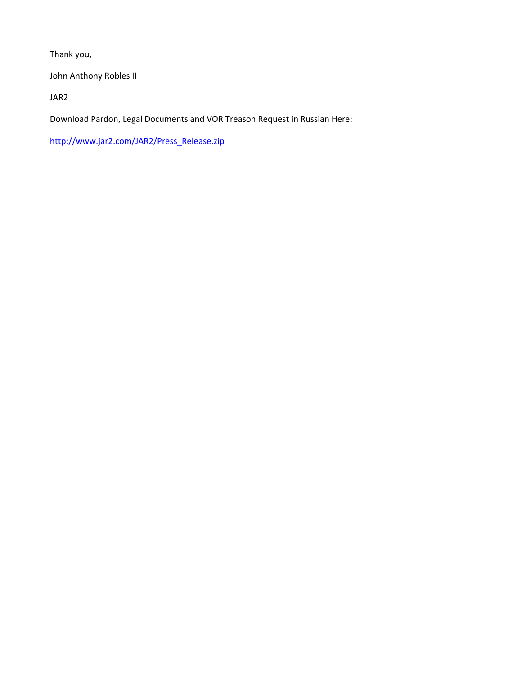Thank you,

John Anthony Robles II

JAR2

Download Pardon, Legal Documents and VOR Treason Request in Russian Here:

http://www.jar2.com/JAR2/Press\_Release.zip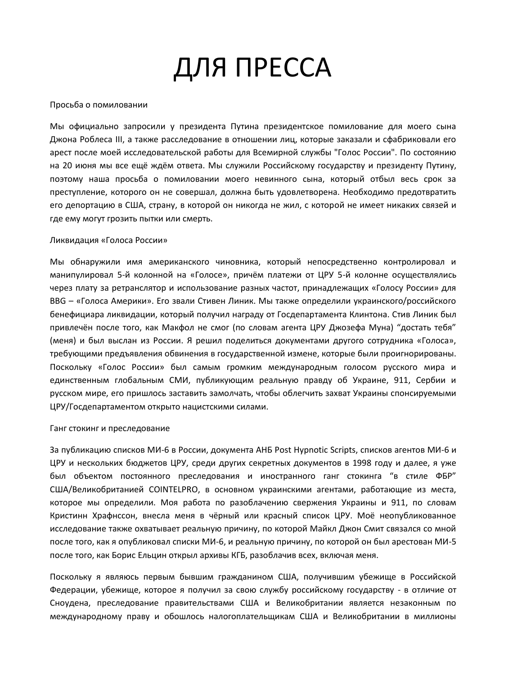# ДЛЯ ПРЕССА

#### Просьба о помиловании

Мы официально запросили у президента Путина президентское помилование для моего сына Джона Роблеса III, а также расследование в отношении лиц, которые заказали и сфабриковали его арест после моей исследовательской работы для Всемирной службы "Голос России". По состоянию на 20 июня мы все ещё ждём ответа. Мы служили Российскому государству и президенту Путину, поэтому наша просьба о помиловании моего невинного сына, который отбыл весь срок за преступление, которого он не совершал, должна быть удовлетворена. Необходимо предотвратить его депортацию в США, страну, в которой он никогда не жил, с которой не имеет никаких связей и где ему могут грозить пытки или смерть.

#### Ликвидация «Голоса России»

Мы обнаружили имя американского чиновника, который непосредственно контролировал и манипулировал 5-й колонной на «Голосе», причём платежи от ЦРУ 5-й колонне осуществлялись через плату за ретранслятор и использование разных частот, принадлежащих «Голосу России» для BBG – «Голоса Америки». Его звали Стивен Линик. Мы также определили украинского/российского бенефициара ликвидации, который получил награду от Госдепартамента Клинтона. Стив Линик был привлечён после того, как Макфол не смог (по словам агента ЦРУ Джозефа Муна) "достать тебя" (меня) и был выслан из России. Я решил поделиться документами другого сотрудника «Голоса», требующими предъявления обвинения в государственной измене, которые были проигнорированы. Поскольку «Голос России» был самым громким международным голосом русского мира и единственным глобальным СМИ, публикующим реальную правду об Украине, 911, Сербии и русском мире, его пришлось заставить замолчать, чтобы облегчить захват Украины спонсируемыми ЦРУ/Госдепартаментом открыто нацистскими силами.

#### Ганг стокинг и преследование

За публикацию списков МИ-6 в России, документа АНБ Post Hypnotic Scripts, списков агентов МИ-6 и ЦРУ и нескольких бюджетов ЦРУ, среди других секретных документов в 1998 году и далее, я уже был объектом постоянного преследования и иностранного ганг стокинга "в стиле ФБР" США/Великобританией COINTELPRO, в основном украинскими агентами, работающие из места, которое мы определили. Моя работа по разоблачению свержения Украины и 911, по словам Кристинн Храфнссон, внесла меня в чёрный или красный список ЦРУ. Моё неопубликованное исследование также охватывает реальную причину, по которой Майкл Джон Смит связался со мной после того, как я опубликовал списки МИ-6, и реальную причину, по которой он был арестован МИ-5 после того, как Борис Ельцин открыл архивы КГБ, разоблачив всех, включая меня.

Поскольку я являюсь первым бывшим гражданином США, получившим убежище в Российской Федерации, убежище, которое я получил за свою службу российскому государству - в отличие от Сноудена, преследование правительствами США и Великобритании является незаконным по международному праву и обошлось налогоплательщикам США и Великобритании в миллионы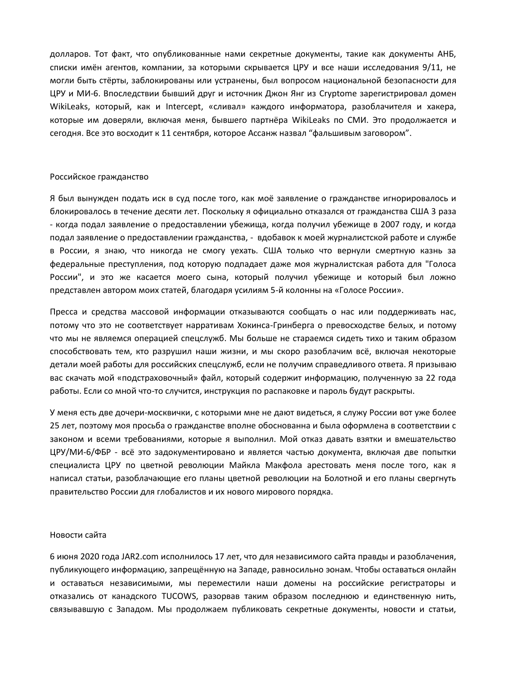долларов. Тот факт, что опубликованные нами секретные документы, такие как документы АНБ, списки имён агентов, компании, за которыми скрывается ЦРУ и все наши исследования 9/11, не могли быть стёрты, заблокированы или устранены, был вопросом национальной безопасности для ЦРУ и МИ-6. Впоследствии бывший друг и источник Джон Янг из Cryptome зарегистрировал домен WikiLeaks, который, как и Intercept, «сливал» каждого информатора, разоблачителя и хакера, которые им доверяли, включая меня, бывшего партнёра WikiLeaks по СМИ. Это продолжается и сегодня. Все это восходит к 11 сентября, которое Ассанж назвал "фальшивым заговором".

#### Российское гражданство

Я был вынужден подать иск в суд после того, как моё заявление о гражданстве игнорировалось и блокировалось в течение десяти лет. Поскольку я официально отказался от гражданства США 3 раза - когда подал заявление о предоставлении убежища, когда получил убежище в 2007 году, и когда подал заявление о предоставлении гражданства, - вдобавок к моей журналистской работе и службе в России, я знаю, что никогда не смогу уехать. США только что вернули смертную казнь за федеральные преступления, под которую подпадает даже моя журналистская работа для "Голоса России", и это же касается моего сына, который получил убежище и который был ложно представлен автором моих статей, благодаря усилиям 5-й колонны на «Голосе России».

Пресса и средства массовой информации отказываются сообщать о нас или поддерживать нас, потому что это не соответствует нарративам Хокинса-Гринберга о превосходстве белых, и потому что мы не являемся операцией спецслужб. Мы больше не стараемся сидеть тихо и таким образом способствовать тем, кто разрушил наши жизни, и мы скоро разоблачим всё, включая некоторые детали моей работы для российских спецслужб, если не получим справедливого ответа. Я призываю вас скачать мой «подстраховочный» файл, который содержит информацию, полученную за 22 года работы. Если со мной что-то случится, инструкция по распаковке и пароль будут раскрыты.

У меня есть две дочери-москвички, с которыми мне не дают видеться, я служу России вот уже более 25 лет, поэтому моя просьба о гражданстве вполне обоснованна и была оформлена в соответствии с законом и всеми требованиями, которые я выполнил. Мой отказ давать взятки и вмешательство ЦРУ/МИ-6/ФБР - всё это задокументировано и является частью документа, включая две попытки специалиста ЦРУ по цветной революции Майкла Макфола арестовать меня после того, как я написал статьи, разоблачающие его планы цветной революции на Болотной и его планы свергнуть правительство России для глобалистов и их нового мирового порядка.

#### Новости сайта

6 июня 2020 года JAR2.com исполнилось 17 лет, что для независимого сайта правды и разоблачения, публикующего информацию, запрещённую на Западе, равносильно эонам. Чтобы оставаться онлайн и оставаться независимыми, мы переместили наши домены на российские регистраторы и отказались от канадского TUCOWS, разорвав таким образом последнюю и единственную нить, связывавшую с Западом. Мы продолжаем публиковать секретные документы, новости и статьи,